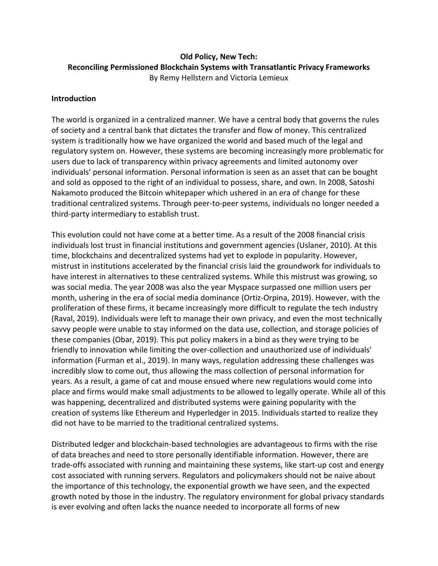# **Old Policy, New Tech: Reconciling Permissioned Blockchain Systems with Transatlantic Privacy Frameworks** By Remy Hellstern and Victoria Lemieux

### **Introduction**

The world is organized in a centralized manner. We have a central body that governs the rules of society and a central bank that dictates the transfer and flow of money. This centralized system is traditionally how we have organized the world and based much of the legal and regulatory system on. However, these systems are becoming increasingly more problematic for users due to lack of transparency within privacy agreements and limited autonomy over individuals' personal information. Personal information is seen as an asset that can be bought and sold as opposed to the right of an individual to possess, share, and own. In 2008, Satoshi Nakamoto produced the Bitcoin whitepaper which ushered in an era of change for these traditional centralized systems. Through peer-to-peer systems, individuals no longer needed a third-party intermediary to establish trust.

This evolution could not have come at a better time. As a result of the 2008 financial crisis individuals lost trust in financial institutions and government agencies (Uslaner, 2010). At this time, blockchains and decentralized systems had yet to explode in popularity. However, mistrust in institutions accelerated by the financial crisis laid the groundwork for individuals to have interest in alternatives to these centralized systems. While this mistrust was growing, so was social media. The year 2008 was also the year Myspace surpassed one million users per month, ushering in the era of social media dominance (Ortiz-Orpina, 2019). However, with the proliferation of these firms, it became increasingly more difficult to regulate the tech industry (Raval, 2019). Individuals were left to manage their own privacy, and even the most technically savvy people were unable to stay informed on the data use, collection, and storage policies of these companies (Obar, 2019). This put policy makers in a bind as they were trying to be friendly to innovation while limiting the over-collection and unauthorized use of individuals' information (Furman et al., 2019). In many ways, regulation addressing these challenges was incredibly slow to come out, thus allowing the mass collection of personal information for years. As a result, a game of cat and mouse ensued where new regulations would come into place and firms would make small adjustments to be allowed to legally operate. While all of this was happening, decentralized and distributed systems were gaining popularity with the creation of systems like Ethereum and Hyperledger in 2015. Individuals started to realize they did not have to be married to the traditional centralized systems.

Distributed ledger and blockchain-based technologies are advantageous to firms with the rise of data breaches and need to store personally identifiable information. However, there are trade-offs associated with running and maintaining these systems, like start-up cost and energy cost associated with running servers. Regulators and policymakers should not be naive about the importance of this technology, the exponential growth we have seen, and the expected growth noted by those in the industry. The regulatory environment for global privacy standards is ever evolving and often lacks the nuance needed to incorporate all forms of new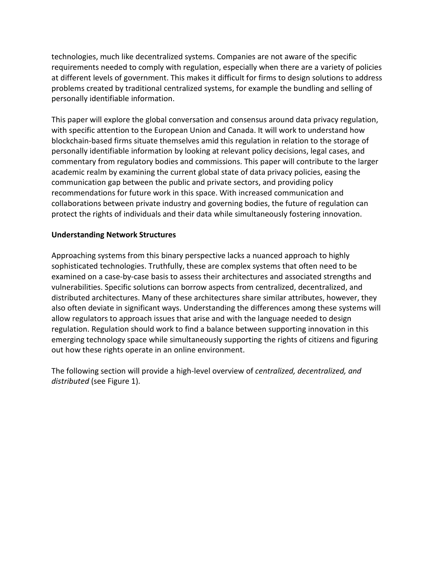technologies, much like decentralized systems. Companies are not aware of the specific requirements needed to comply with regulation, especially when there are a variety of policies at different levels of government. This makes it difficult for firms to design solutions to address problems created by traditional centralized systems, for example the bundling and selling of personally identifiable information.

This paper will explore the global conversation and consensus around data privacy regulation, with specific attention to the European Union and Canada. It will work to understand how blockchain-based firms situate themselves amid this regulation in relation to the storage of personally identifiable information by looking at relevant policy decisions, legal cases, and commentary from regulatory bodies and commissions. This paper will contribute to the larger academic realm by examining the current global state of data privacy policies, easing the communication gap between the public and private sectors, and providing policy recommendations for future work in this space. With increased communication and collaborations between private industry and governing bodies, the future of regulation can protect the rights of individuals and their data while simultaneously fostering innovation.

### **Understanding Network Structures**

Approaching systems from this binary perspective lacks a nuanced approach to highly sophisticated technologies. Truthfully, these are complex systems that often need to be examined on a case-by-case basis to assess their architectures and associated strengths and vulnerabilities. Specific solutions can borrow aspects from centralized, decentralized, and distributed architectures. Many of these architectures share similar attributes, however, they also often deviate in significant ways. Understanding the differences among these systems will allow regulators to approach issues that arise and with the language needed to design regulation. Regulation should work to find a balance between supporting innovation in this emerging technology space while simultaneously supporting the rights of citizens and figuring out how these rights operate in an online environment.

The following section will provide a high-level overview of *centralized, decentralized, and distributed* (see Figure 1).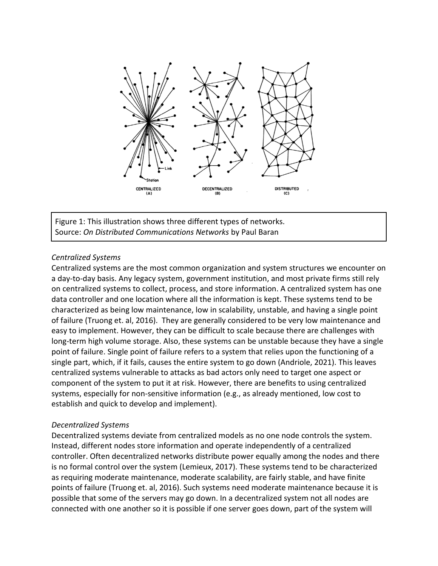

Figure 1: This illustration shows three different types of networks. Source: *On Distributed Communications Networks* by Paul Baran

### *Centralized Systems*

Centralized systems are the most common organization and system structures we encounter on a day-to-day basis. Any legacy system, government institution, and most private firms still rely on centralized systems to collect, process, and store information. A centralized system has one data controller and one location where all the information is kept. These systems tend to be characterized as being low maintenance, low in scalability, unstable, and having a single point of failure (Truong et. al, 2016). They are generally considered to be very low maintenance and easy to implement. However, they can be difficult to scale because there are challenges with long-term high volume storage. Also, these systems can be unstable because they have a single point of failure. Single point of failure refers to a system that relies upon the functioning of a single part, which, if it fails, causes the entire system to go down (Andriole, 2021). This leaves centralized systems vulnerable to attacks as bad actors only need to target one aspect or component of the system to put it at risk. However, there are benefits to using centralized systems, especially for non-sensitive information (e.g., as already mentioned, low cost to establish and quick to develop and implement).

### *Decentralized Systems*

Decentralized systems deviate from centralized models as no one node controls the system. Instead, different nodes store information and operate independently of a centralized controller. Often decentralized networks distribute power equally among the nodes and there is no formal control over the system (Lemieux, 2017). These systems tend to be characterized as requiring moderate maintenance, moderate scalability, are fairly stable, and have finite points of failure (Truong et. al, 2016). Such systems need moderate maintenance because it is possible that some of the servers may go down. In a decentralized system not all nodes are connected with one another so it is possible if one server goes down, part of the system will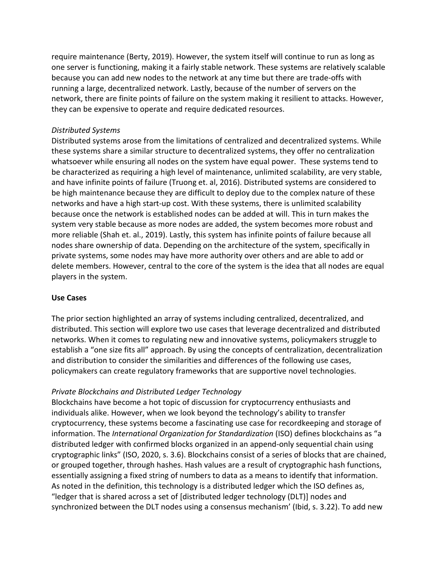require maintenance (Berty, 2019). However, the system itself will continue to run as long as one server is functioning, making it a fairly stable network. These systems are relatively scalable because you can add new nodes to the network at any time but there are trade-offs with running a large, decentralized network. Lastly, because of the number of servers on the network, there are finite points of failure on the system making it resilient to attacks. However, they can be expensive to operate and require dedicated resources.

#### *Distributed Systems*

Distributed systems arose from the limitations of centralized and decentralized systems. While these systems share a similar structure to decentralized systems, they offer no centralization whatsoever while ensuring all nodes on the system have equal power. These systems tend to be characterized as requiring a high level of maintenance, unlimited scalability, are very stable, and have infinite points of failure (Truong et. al, 2016). Distributed systems are considered to be high maintenance because they are difficult to deploy due to the complex nature of these networks and have a high start-up cost. With these systems, there is unlimited scalability because once the network is established nodes can be added at will. This in turn makes the system very stable because as more nodes are added, the system becomes more robust and more reliable (Shah et. al., 2019). Lastly, this system has infinite points of failure because all nodes share ownership of data. Depending on the architecture of the system, specifically in private systems, some nodes may have more authority over others and are able to add or delete members. However, central to the core of the system is the idea that all nodes are equal players in the system.

#### **Use Cases**

The prior section highlighted an array of systems including centralized, decentralized, and distributed. This section will explore two use cases that leverage decentralized and distributed networks. When it comes to regulating new and innovative systems, policymakers struggle to establish a "one size fits all" approach. By using the concepts of centralization, decentralization and distribution to consider the similarities and differences of the following use cases, policymakers can create regulatory frameworks that are supportive novel technologies.

### *Private Blockchains and Distributed Ledger Technology*

Blockchains have become a hot topic of discussion for cryptocurrency enthusiasts and individuals alike. However, when we look beyond the technology's ability to transfer cryptocurrency, these systems become a fascinating use case for recordkeeping and storage of information. The *International Organization for Standardization* (ISO) defines blockchains as "a distributed ledger with confirmed blocks organized in an append-only sequential chain using cryptographic links" (ISO, 2020, s. 3.6). Blockchains consist of a series of blocks that are chained, or grouped together, through hashes. Hash values are a result of cryptographic hash functions, essentially assigning a fixed string of numbers to data as a means to identify that information. As noted in the definition, this technology is a distributed ledger which the ISO defines as, "ledger that is shared across a set of [distributed ledger technology (DLT)] nodes and synchronized between the DLT nodes using a consensus mechanism' (Ibid, s. 3.22). To add new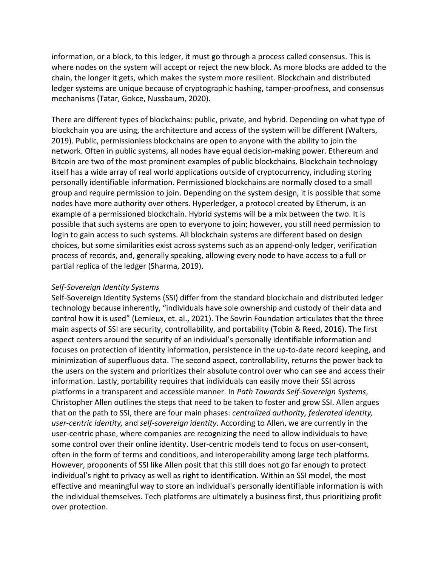information, or a block, to this ledger, it must go through a process called consensus. This is where nodes on the system will accept or reject the new block. As more blocks are added to the chain, the longer it gets, which makes the system more resilient. Blockchain and distributed ledger systems are unique because of cryptographic hashing, tamper-proofness, and consensus mechanisms (Tatar, Gokce, Nussbaum, 2020).

There are different types of blockchains: public, private, and hybrid. Depending on what type of blockchain you are using, the architecture and access of the system will be different (Walters, 2019). Public, permissionless blockchains are open to anyone with the ability to join the network. Often in public systems, all nodes have equal decision-making power. Ethereum and Bitcoin are two of the most prominent examples of public blockchains. Blockchain technology itself has a wide array of real world applications outside of cryptocurrency, including storing personally identifiable information. Permissioned blockchains are normally closed to a small group and require permission to join. Depending on the system design, it is possible that some nodes have more authority over others. Hyperledger, a protocol created by Etherum, is an example of a permissioned blockchain. Hybrid systems will be a mix between the two. It is possible that such systems are open to everyone to join; however, you still need permission to login to gain access to such systems. All blockchain systems are different based on design choices, but some similarities exist across systems such as an append-only ledger, verification process of records, and, generally speaking, allowing every node to have access to a full or partial replica of the ledger (Sharma, 2019).

#### *Self-Sovereign Identity Systems*

Self-Sovereign Identity Systems (SSI) differ from the standard blockchain and distributed ledger technology because inherently, "individuals have sole ownership and custody of their data and control how it is used" (Lemieux, et. al., 2021). The Sovrin Foundation articulates that the three main aspects of SSI are security, controllability, and portability (Tobin & Reed, 2016). The first aspect centers around the security of an individual's personally identifiable information and focuses on protection of identity information, persistence in the up-to-date record keeping, and minimization of superfluous data. The second aspect, controllability, returns the power back to the users on the system and prioritizes their absolute control over who can see and access their information. Lastly, portability requires that individuals can easily move their SSI across platforms in a transparent and accessible manner. In *Path Towards Self-Sovereign Systems*, Christopher Allen outlines the steps that need to be taken to foster and grow SSI. Allen argues that on the path to SSI, there are four main phases: *centralized authority, federated identity, user-centric identity,* and *self-sovereign identity*. According to Allen, we are currently in the user-centric phase, where companies are recognizing the need to allow individuals to have some control over their online identity. User-centric models tend to focus on user-consent, often in the form of terms and conditions, and interoperability among large tech platforms. However, proponents of SSI like Allen posit that this still does not go far enough to protect individual's right to privacy as well as right to identification. Within an SSI model, the most effective and meaningful way to store an individual's personally identifiable information is with the individual themselves. Tech platforms are ultimately a business first, thus prioritizing profit over protection.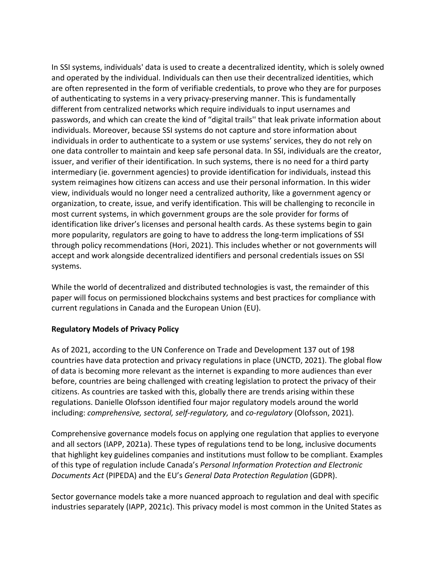In SSI systems, individuals' data is used to create a decentralized identity, which is solely owned and operated by the individual. Individuals can then use their decentralized identities, which are often represented in the form of verifiable credentials, to prove who they are for purposes of authenticating to systems in a very privacy-preserving manner. This is fundamentally different from centralized networks which require individuals to input usernames and passwords, and which can create the kind of "digital trails'' that leak private information about individuals. Moreover, because SSI systems do not capture and store information about individuals in order to authenticate to a system or use systems' services, they do not rely on one data controller to maintain and keep safe personal data. In SSI, individuals are the creator, issuer, and verifier of their identification. In such systems, there is no need for a third party intermediary (ie. government agencies) to provide identification for individuals, instead this system reimagines how citizens can access and use their personal information. In this wider view, individuals would no longer need a centralized authority, like a government agency or organization, to create, issue, and verify identification. This will be challenging to reconcile in most current systems, in which government groups are the sole provider for forms of identification like driver's licenses and personal health cards. As these systems begin to gain more popularity, regulators are going to have to address the long-term implications of SSI through policy recommendations (Hori, 2021). This includes whether or not governments will accept and work alongside decentralized identifiers and personal credentials issues on SSI systems.

While the world of decentralized and distributed technologies is vast, the remainder of this paper will focus on permissioned blockchains systems and best practices for compliance with current regulations in Canada and the European Union (EU).

### **Regulatory Models of Privacy Polic[y](https://www.youtube.com/watch?v=WfJ-vSDRRIw)**

As of 2021, according to the UN Conference on Trade and Development 137 out of 198 countries have data protection and privacy regulations in place (UNCTD, 2021). The global flow of data is becoming more relevant as the internet is expanding to more audiences than ever before, countries are being challenged with creating legislation to protect the privacy of their citizens. As countries are tasked with this, globally there are trends arising within these regulations. Danielle Olofsson identified four major regulatory models around the world including: *comprehensive, sectoral, self-regulatory,* and *co-regulatory* (Olofsson, 2021).

Comprehensive governance models focus on applying one regulation that applies to everyone and all sectors (IAPP, 2021a). These types of regulations tend to be long, inclusive documents that highlight key guidelines companies and institutions must follow to be compliant. Examples of this type of regulation include Canada's *Personal Information Protection and Electronic Documents Act* (PIPEDA) and the EU's *General Data Protection Regulation* (GDPR).

Sector governance models take a more nuanced approach to regulation and deal with specific industries separately (IAPP, 2021c). This privacy model is most common in the United States as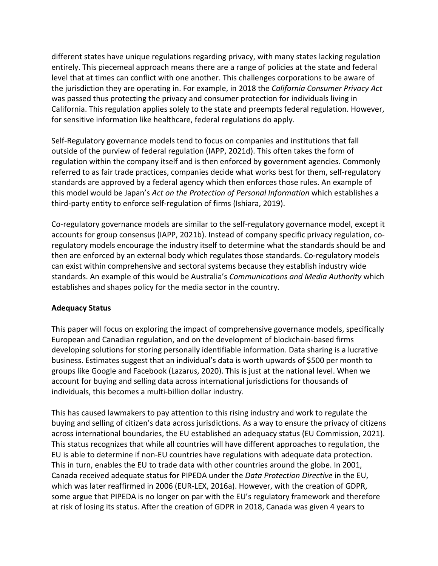different states have unique regulations regarding privacy, with many states lacking regulation entirely. This piecemeal approach means there are a range of policies at the state and federal level that at times can conflict with one another. This challenges corporations to be aware of the jurisdiction they are operating in. For example, in 2018 the *California Consumer Privacy Act* was passed thus protecting the privacy and consumer protection for individuals living in California. This regulation applies solely to the state and preempts federal regulation. However, for sensitive information like healthcare, federal regulations do apply.

Self-Regulatory governance models tend to focus on companies and institutions that fall outside of the purview of federal regulation (IAPP, 2021d). This often takes the form of regulation within the company itself and is then enforced by government agencies. Commonly referred to as fair trade practices, companies decide what works best for them, self-regulatory standards are approved by a federal agency which then enforces those rules. An example of this model would be Japan's *Act on the Protection of Personal Information* which establishes a third-party entity to enforce self-regulation of firms (Ishiara, 2019).

Co-regulatory governance models are similar to the self-regulatory governance model, except it accounts for group consensus (IAPP, 2021b). Instead of company specific privacy regulation, coregulatory models encourage the industry itself to determine what the standards should be and then are enforced by an external body which regulates those standards. Co-regulatory models can exist within comprehensive and sectoral systems because they establish industry wide standards. An example of this would be Australia's *Communications and Media Authority* which establishes and shapes policy for the media sector in the country.

# **Adequacy Status**

This paper will focus on exploring the impact of comprehensive governance models, specifically European and Canadian regulation, and on the development of blockchain-based firms developing solutions for storing personally identifiable information. Data sharing is a lucrative business. Estimates suggest that an individual's data is worth upwards of \$500 per month to groups like Google and Facebook (Lazarus, 2020). This is just at the national level. When we account for buying and selling data across international jurisdictions for thousands of individuals, this becomes a multi-billion dollar industry.

This has caused lawmakers to pay attention to this rising industry and work to regulate the buying and selling of citizen's data across jurisdictions. As a way to ensure the privacy of citizens across international boundaries, the EU established an adequacy status (EU Commission, 2021). This status recognizes that while all countries will have different approaches to regulation, the EU is able to determine if non-EU countries have regulations with adequate data protection. This in turn, enables the EU to trade data with other countries around the globe. In 2001, Canada received adequate status for PIPEDA under the *Data Protection Directive* in the EU, which was later reaffirmed in 2006 (EUR-LEX, 2016a). However, with the creation of GDPR, some argue that PIPEDA is no longer on par with the EU's regulatory framework and therefore at risk of losing its status. After the creation of GDPR in 2018, Canada was given 4 years to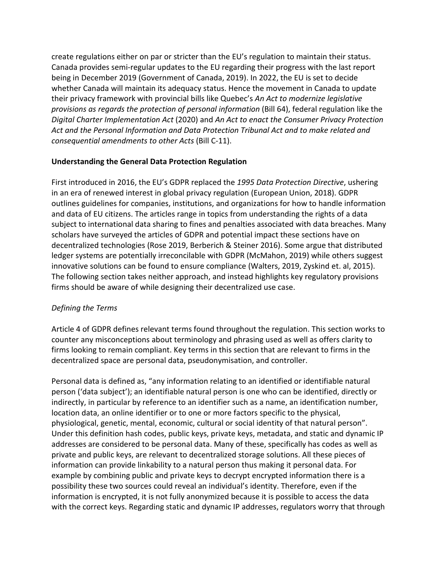create regulations either on par or stricter than the EU's regulation to maintain their status. Canada provides semi-regular updates to the EU regarding their progress with the last report being in December 2019 (Government of Canada, 2019). In 2022, the EU is set to decide whether Canada will maintain its adequacy status. Hence the movement in Canada to update their privacy framework with provincial bills like Quebec's *An Act to modernize legislative provisions as regards the protection of personal information* (Bill 64), federal regulation like the *Digital Charter Implementation Act* (2020) and *An Act to enact the Consumer Privacy Protection Act and the Personal Information and Data Protection Tribunal Act and to make related and consequential amendments to other Acts* (Bill C-11).

### **Understanding the General Data Protection Regulation**

First introduced in 2016, the EU's GDPR replaced the *1995 Data Protection Directive*, ushering in an era of renewed interest in global privacy regulation (European Union, 2018). GDPR outlines guidelines for companies, institutions, and organizations for how to handle information and data of EU citizens. The articles range in topics from understanding the rights of a data subject to international data sharing to fines and penalties associated with data breaches. Many scholars have surveyed the articles of GDPR and potential impact these sections have on decentralized technologies (Rose 2019, Berberich & Steiner 2016). Some argue that distributed ledger systems are potentially irreconcilable with GDPR (McMahon, 2019) while others suggest innovative solutions can be found to ensure compliance (Walters, 2019, Zyskind et. al, 2015). The following section takes neither approach, and instead highlights key regulatory provisions firms should be aware of while designing their decentralized use case.

# *Defining the Terms*

Article 4 of GDPR defines relevant terms found throughout the regulation. This section works to counter any misconceptions about terminology and phrasing used as well as offers clarity to firms looking to remain compliant. Key terms in this section that are relevant to firms in the decentralized space are personal data, pseudonymisation, and controller.

Personal data is defined as, "any information relating to an identified or identifiable natural person ('data subject'); an identifiable natural person is one who can be identified, directly or indirectly, in particular by reference to an identifier such as a name, an identification number, location data, an online identifier or to one or more factors specific to the physical, physiological, genetic, mental, economic, cultural or social identity of that natural person". Under this definition hash codes, public keys, private keys, metadata, and static and dynamic IP addresses are considered to be personal data. Many of these, specifically has codes as well as private and public keys, are relevant to decentralized storage solutions. All these pieces of information can provide linkability to a natural person thus making it personal data. For example by combining public and private keys to decrypt encrypted information there is a possibility these two sources could reveal an individual's identity. Therefore, even if the information is encrypted, it is not fully anonymized because it is possible to access the data with the correct keys. Regarding static and dynamic IP addresses, regulators worry that through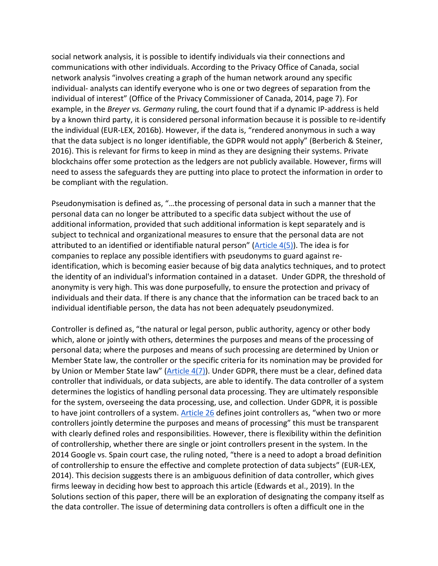social network analysis, it is possible to identify individuals via their connections and communications with other individuals. According to the Privacy Office of Canada, social network analysis "involves creating a graph of the human network around any specific individual- analysts can identify everyone who is one or two degrees of separation from the individual of interest" (Office of the Privacy Commissioner of Canada, 2014, page 7). For example, in the *Breyer vs. Germany* ruling, the court found that if a dynamic IP-address is held by a known third party, it is considered personal information because it is possible to re-identify the individual (EUR-LEX, 2016b). However, if the data is, "rendered anonymous in such a way that the data subject is no longer identifiable, the GDPR would not apply" (Berberich & Steiner, 2016). This is relevant for firms to keep in mind as they are designing their systems. Private blockchains offer some protection as the ledgers are not publicly available. However, firms will need to assess the safeguards they are putting into place to protect the information in order to be compliant with the regulation.

Pseudonymisation is defined as, "…the processing of personal data in such a manner that the personal data can no longer be attributed to a specific data subject without the use of additional information, provided that such additional information is kept separately and is subject to technical and organizational measures to ensure that the personal data are not attributed to an identified or identifiable natural person" ( $Article 4(5)$ ). The idea is for companies to replace any possible identifiers with pseudonyms to guard against reidentification, which is becoming easier because of big data analytics techniques, and to protect the identity of an individual's information contained in a dataset. Under GDPR, the threshold of anonymity is very high. This was done purposefully, to ensure the protection and privacy of individuals and their data. If there is any chance that the information can be traced back to an individual identifiable person, the data has not been adequately pseudonymized.

Controller is defined as, "the natural or legal person, public authority, agency or other body which, alone or jointly with others, determines the purposes and means of the processing of personal data; where the purposes and means of such processing are determined by Union or Member State law, the controller or the specific criteria for its nomination may be provided for by Union or Member State law" [\(Article 4\(7\)\)](https://gdpr-info.eu/art-4-gdpr/). Under GDPR, there must be a clear, defined data controller that individuals, or data subjects, are able to identify. The data controller of a system determines the logistics of handling personal data processing. They are ultimately responsible for the system, overseeing the data processing, use, and collection. Under GDPR, it is possible to have joint controllers of a system. [Article 26](https://gdpr-info.eu/art-26-gdpr/) defines joint controllers as, "when two or more controllers jointly determine the purposes and means of processing" this must be transparent with clearly defined roles and responsibilities. However, there is flexibility within the definition of controllership, whether there are single or joint controllers present in the system. In the 2014 Google vs. Spain court case, the ruling noted, "there is a need to adopt a broad definition of controllership to ensure the effective and complete protection of data subjects" (EUR-LEX, 2014). This decision suggests there is an ambiguous definition of data controller, which gives firms leeway in deciding how best to approach this article (Edwards et al., 2019). In the Solutions section of this paper, there will be an exploration of designating the company itself as the data controller. The issue of determining data controllers is often a difficult one in the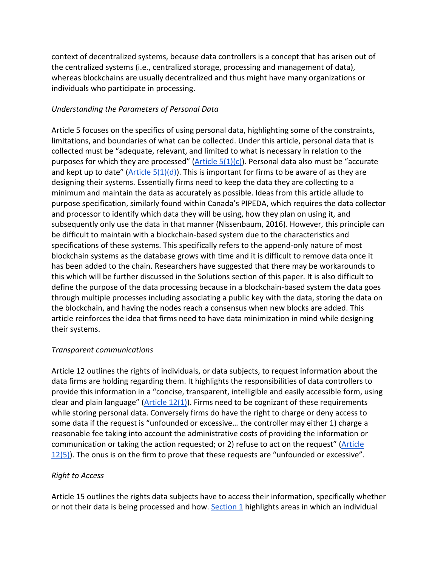context of decentralized systems, because data controllers is a concept that has arisen out of the centralized systems (i.e., centralized storage, processing and management of data), whereas blockchains are usually decentralized and thus might have many organizations or individuals who participate in processing.

### *Understanding the Parameters of Personal Data*

Article 5 focuses on the specifics of using personal data, highlighting some of the constraints, limitations, and boundaries of what can be collected. Under this article, personal data that is collected must be "adequate, relevant, and limited to what is necessary in relation to the purposes for which they are processed" (Article  $5(1)(c)$ ). Personal data also must be "accurate and kept up to date" ( $Article$   $5(1)(d)$ ). This is important for firms to be aware of as they are designing their systems. Essentially firms need to keep the data they are collecting to a minimum and maintain the data as accurately as possible. Ideas from this article allude to purpose specification, similarly found within Canada's PIPEDA, which requires the data collector and processor to identify which data they will be using, how they plan on using it, and subsequently only use the data in that manner (Nissenbaum, 2016). However, this principle can be difficult to maintain with a blockchain-based system due to the characteristics and specifications of these systems. This specifically refers to the append-only nature of most blockchain systems as the database grows with time and it is difficult to remove data once it has been added to the chain. Researchers have suggested that there may be workarounds to this which will be further discussed in the Solutions section of this paper. It is also difficult to define the purpose of the data processing because in a blockchain-based system the data goes through multiple processes including associating a public key with the data, storing the data on the blockchain, and having the nodes reach a consensus when new blocks are added. This article reinforces the idea that firms need to have data minimization in mind while designing their systems.

### *Transparent communications*

Article 12 outlines the rights of individuals, or data subjects, to request information about the data firms are holding regarding them. It highlights the responsibilities of data controllers to provide this information in a "concise, transparent, intelligible and easily accessible form, using clear and plain language" (Article  $12(1)$ ). Firms need to be cognizant of these requirements while storing personal data. Conversely firms do have the right to charge or deny access to some data if the request is "unfounded or excessive… the controller may either 1) charge a reasonable fee taking into account the administrative costs of providing the information or communication or taking the action requested; or 2) refuse to act on the request" (Article [12\(5\)\)](https://gdpr-info.eu/art-12-gdpr/). The onus is on the firm to prove that these requests are "unfounded or excessive".

# *Right to Access*

Article 15 outlines the rights data subjects have to access their information, specifically whether or not their data is being processed and how. [Section 1](https://gdpr-info.eu/art-15-gdpr/) highlights areas in which an individual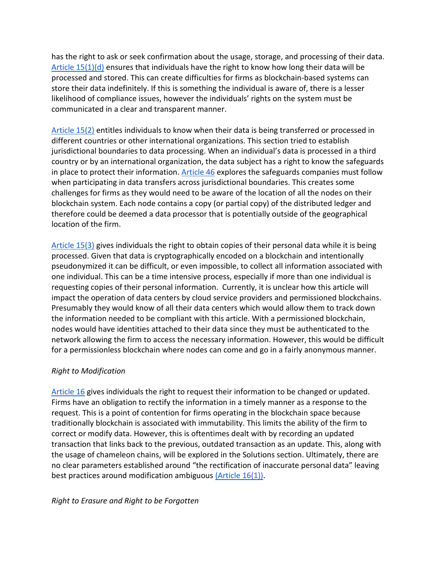has the right to ask or seek confirmation about the usage, storage, and processing of their data. Article  $15(1)(d)$  ensures that individuals have the right to know how long their data will be processed and stored. This can create difficulties for firms as blockchain-based systems can store their data indefinitely. If this is something the individual is aware of, there is a lesser likelihood of compliance issues, however the individuals' rights on the system must be communicated in a clear and transparent manner.

[Article 15\(2\)](https://gdpr-info.eu/art-15-gdpr/) entitles individuals to know when their data is being transferred or processed in different countries or other international organizations. This section tried to establish jurisdictional boundaries to data processing. When an individual's data is processed in a third country or by an international organization, the data subject has a right to know the safeguards in place to protect their information[. Article 46](https://gdpr-info.eu/art-46-gdpr/) explores the safeguards companies must follow when participating in data transfers across jurisdictional boundaries. This creates some challenges for firms as they would need to be aware of the location of all the nodes on their blockchain system. Each node contains a copy (or partial copy) of the distributed ledger and therefore could be deemed a data processor that is potentially outside of the geographical location of the firm.

[Article 15\(3\)](https://gdpr-info.eu/art-15-gdpr/) gives individuals the right to obtain copies of their personal data while it is being processed. Given that data is cryptographically encoded on a blockchain and intentionally pseudonymized it can be difficult, or even impossible, to collect all information associated with one individual. This can be a time intensive process, especially if more than one individual is requesting copies of their personal information. Currently, it is unclear how this article will impact the operation of data centers by cloud service providers and permissioned blockchains. Presumably they would know of all their data centers which would allow them to track down the information needed to be compliant with this article. With a permissioned blockchain, nodes would have identities attached to their data since they must be authenticated to the network allowing the firm to access the necessary information. However, this would be difficult for a permissionless blockchain where nodes can come and go in a fairly anonymous manner.

### *Right to Modification*

[Article 16](https://gdpr-info.eu/art-16-gdpr/) gives individuals the right to request their information to be changed or updated. Firms have an obligation to rectify the information in a timely manner as a response to the request. This is a point of contention for firms operating in the blockchain space because traditionally blockchain is associated with immutability. This limits the ability of the firm to correct or modify data. However, this is oftentimes dealt with by recording an updated transaction that links back to the previous, outdated transaction as an update. This, along with the usage of chameleon chains, will be explored in the Solutions section. Ultimately, there are no clear parameters established around "the rectification of inaccurate personal data" leaving best practices around modification ambiguous [\(Article 16\(1\)\).](https://gdpr-info.eu/art-16-gdpr/)

### *Right to Erasure and Right to be Forgotten*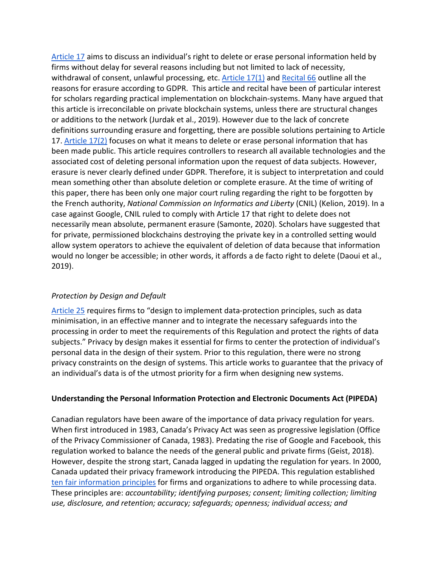[Article 17](https://gdpr-info.eu/art-17-gdpr/) aims to discuss an individual's right to delete or erase personal information held by firms without delay for several reasons including but not limited to lack of necessity, withdrawal of consent, unlawful processing, etc. [Article 17\(1\)](https://gdpr-info.eu/art-17-gdpr/) and [Recital 66](https://gdpr-info.eu/recitals/no-66/) outline all the reasons for erasure according to GDPR. This article and recital have been of particular interest for scholars regarding practical implementation on blockchain-systems. Many have argued that this article is irreconcilable on private blockchain systems, unless there are structural changes or additions to the network (Jurdak et al., 2019). However due to the lack of concrete definitions surrounding erasure and forgetting, there are possible solutions pertaining to Article 17. [Article 17\(2\)](https://gdpr-info.eu/art-17-gdpr/) focuses on what it means to delete or erase personal information that has been made public. This article requires controllers to research all available technologies and the associated cost of deleting personal information upon the request of data subjects. However, erasure is never clearly defined under GDPR. Therefore, it is subject to interpretation and could mean something other than absolute deletion or complete erasure. At the time of writing of this paper, there has been only one major court ruling regarding the right to be forgotten by the French authority, *National Commission on Informatics and Liberty* (CNIL) (Kelion, 2019). In a case against Google, CNIL ruled to comply with Article 17 that right to delete does not necessarily mean absolute, permanent erasure (Samonte, 2020). Scholars have suggested that for private, permissioned blockchains destroying the private key in a controlled setting would allow system operators to achieve the equivalent of deletion of data because that information would no longer be accessible; in other words, it affords a de facto right to delete (Daoui et al., 2019).

# *Protection by Design and Default*

[Article 25](https://gdpr-info.eu/art-25-gdpr/) requires firms to "design to implement data-protection principles, such as data minimisation, in an effective manner and to integrate the necessary safeguards into the processing in order to meet the requirements of this Regulation and protect the rights of data subjects." Privacy by design makes it essential for firms to center the protection of individual's personal data in the design of their system. Prior to this regulation, there were no strong privacy constraints on the design of systems. This article works to guarantee that the privacy of an individual's data is of the utmost priority for a firm when designing new systems.

### **Understanding the Personal Information Protection and Electronic Documents Act (PIPEDA)**

Canadian regulators have been aware of the importance of data privacy regulation for years. When first introduced in 1983, Canada's Privacy Act was seen as progressive legislation (Office of the Privacy Commissioner of Canada, 1983). Predating the rise of Google and Facebook, this regulation worked to balance the needs of the general public and private firms (Geist, 2018). However, despite the strong start, Canada lagged in updating the regulation for years. In 2000, Canada updated their privacy framework introducing the PIPEDA. This regulation established [ten fair information principles](https://www.priv.gc.ca/en/privacy-topics/privacy-laws-in-canada/the-personal-information-protection-and-electronic-documents-act-pipeda/p_principle/) for firms and organizations to adhere to while processing data. These principles are: *accountability; identifying purposes; consent; limiting collection; limiting use, disclosure, and retention; accuracy; safeguards; openness; individual access; and*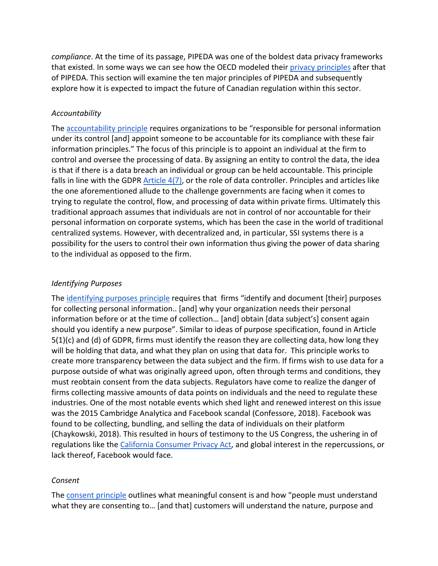*compliance*. At the time of its passage, PIPEDA was one of the boldest data privacy frameworks that existed. In some ways we can see how the OECD modeled their [privacy principles](https://www.oecd.org/sti/ieconomy/oecd_privacy_framework.pdf) after that of PIPEDA. This section will examine the ten major principles of PIPEDA and subsequently explore how it is expected to impact the future of Canadian regulation within this sector.

### *Accountability*

The [accountability principle](https://www.priv.gc.ca/en/privacy-topics/privacy-laws-in-canada/the-personal-information-protection-and-electronic-documents-act-pipeda/p_principle/principles/p_accountability/) requires organizations to be "responsible for personal information under its control [and] appoint someone to be accountable for its compliance with these fair information principles." The focus of this principle is to appoint an individual at the firm to control and oversee the processing of data. By assigning an entity to control the data, the idea is that if there is a data breach an individual or group can be held accountable. This principle falls in line with the GDPR [Article 4\(7\),](https://gdpr-info.eu/art-4-gdpr/) or the role of data controller. Principles and articles like the one aforementioned allude to the challenge governments are facing when it comes to trying to regulate the control, flow, and processing of data within private firms. Ultimately this traditional approach assumes that individuals are not in control of nor accountable for their personal information on corporate systems, which has been the case in the world of traditional centralized systems. However, with decentralized and, in particular, SSI systems there is a possibility for the users to control their own information thus giving the power of data sharing to the individual as opposed to the firm.

# *Identifying Purposes*

The [identifying purposes principle](https://www.priv.gc.ca/en/privacy-topics/privacy-laws-in-canada/the-personal-information-protection-and-electronic-documents-act-pipeda/p_principle/principles/p_purposes/) requires that firms "identify and document [their] purposes for collecting personal information.. [and] why your organization needs their personal information before or at the time of collection… [and] obtain [data subject's] consent again should you identify a new purpose". Similar to ideas of purpose specification, found in Article  $5(1)(c)$  and (d) of GDPR, firms must identify the reason they are collecting data, how long they will be holding that data, and what they plan on using that data for. This principle works to create more transparency between the data subject and the firm. If firms wish to use data for a purpose outside of what was originally agreed upon, often through terms and conditions, they must reobtain consent from the data subjects. Regulators have come to realize the danger of firms collecting massive amounts of data points on individuals and the need to regulate these industries. One of the most notable events which shed light and renewed interest on this issue was the 2015 Cambridge Analytica and Facebook scandal (Confessore, 2018). Facebook was found to be collecting, bundling, and selling the data of individuals on their platform (Chaykowski, 2018). This resulted in hours of testimony to the US Congress, the ushering in of regulations like the [California Consumer Privacy Act,](https://oag.ca.gov/privacy/ccpa) and global interest in the repercussions, or lack thereof, Facebook would face.

### *Consent*

The [consent principle](https://www.priv.gc.ca/en/privacy-topics/privacy-laws-in-canada/the-personal-information-protection-and-electronic-documents-act-pipeda/p_principle/principles/p_consent/) outlines what meaningful consent is and how "people must understand what they are consenting to… [and that] customers will understand the nature, purpose and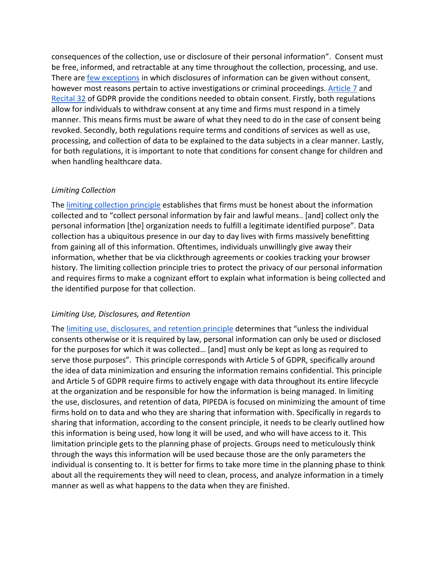consequences of the collection, use or disclosure of their personal information". Consent must be free, informed, and retractable at any time throughout the collection, processing, and use. There ar[e few exceptions](https://www.priv.gc.ca/en/privacy-topics/privacy-laws-in-canada/the-personal-information-protection-and-electronic-documents-act-pipeda/r_o_p/gd_d1-d2_201703/) in which disclosures of information can be given without consent, however most reasons pertain to active investigations or criminal proceedings[. Article 7](https://gdpr-info.eu/issues/consent/) and [Recital 32](https://gdpr-info.eu/recitals/no-32/) of GDPR provide the conditions needed to obtain consent. Firstly, both regulations allow for individuals to withdraw consent at any time and firms must respond in a timely manner. This means firms must be aware of what they need to do in the case of consent being revoked. Secondly, both regulations require terms and conditions of services as well as use, processing, and collection of data to be explained to the data subjects in a clear manner. Lastly, for both regulations, it is important to note that conditions for consent change for children and when handling healthcare data.

### *Limiting Collection*

The [limiting collection principle](https://www.priv.gc.ca/en/privacy-topics/privacy-laws-in-canada/the-personal-information-protection-and-electronic-documents-act-pipeda/p_principle/principles/p_collection/) establishes that firms must be honest about the information collected and to "collect personal information by fair and lawful means.. [and] collect only the personal information [the] organization needs to fulfill a legitimate identified purpose". Data collection has a ubiquitous presence in our day to day lives with firms massively benefitting from gaining all of this information. Oftentimes, individuals unwillingly give away their information, whether that be via clickthrough agreements or cookies tracking your browser history. The limiting collection principle tries to protect the privacy of our personal information and requires firms to make a cognizant effort to explain what information is being collected and the identified purpose for that collection.

### *Limiting Use, Disclosures, and Retention*

The [limiting use, disclosures, and retention](https://www.priv.gc.ca/en/privacy-topics/privacy-laws-in-canada/the-personal-information-protection-and-electronic-documents-act-pipeda/p_principle/principles/p_use/) principle determines that "unless the individual consents otherwise or it is required by law, personal information can only be used or disclosed for the purposes for which it was collected… [and] must only be kept as long as required to serve those purposes". This principle corresponds with Article 5 of GDPR, specifically around the idea of data minimization and ensuring the information remains confidential. This principle and Article 5 of GDPR require firms to actively engage with data throughout its entire lifecycle at the organization and be responsible for how the information is being managed. In limiting the use, disclosures, and retention of data, PIPEDA is focused on minimizing the amount of time firms hold on to data and who they are sharing that information with. Specifically in regards to sharing that information, according to the consent principle, it needs to be clearly outlined how this information is being used, how long it will be used, and who will have access to it. This limitation principle gets to the planning phase of projects. Groups need to meticulously think through the ways this information will be used because those are the only parameters the individual is consenting to. It is better for firms to take more time in the planning phase to think about all the requirements they will need to clean, process, and analyze information in a timely manner as well as what happens to the data when they are finished.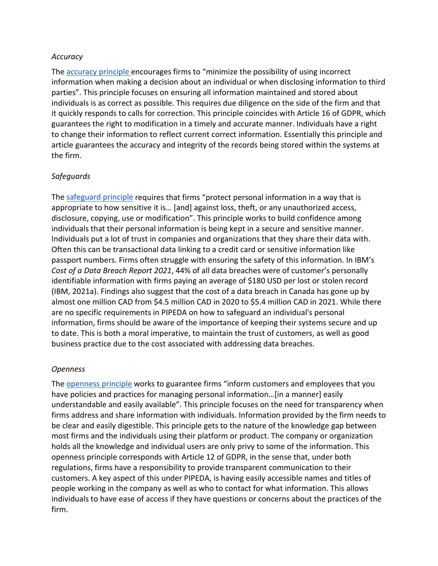### *Accuracy*

The [accuracy principle e](https://www.priv.gc.ca/en/privacy-topics/privacy-laws-in-canada/the-personal-information-protection-and-electronic-documents-act-pipeda/p_principle/principles/p_accuracy/)ncourages firms to "minimize the possibility of using incorrect information when making a decision about an individual or when disclosing information to third parties". This principle focuses on ensuring all information maintained and stored about individuals is as correct as possible. This requires due diligence on the side of the firm and that it quickly responds to calls for correction. This principle coincides with Article 16 of GDPR, which guarantees the right to modification in a timely and accurate manner. Individuals have a right to change their information to reflect current correct information. Essentially this principle and article guarantees the accuracy and integrity of the records being stored within the systems at the firm.

### *Safeguards*

The [safeguard principle](https://www.priv.gc.ca/en/privacy-topics/privacy-laws-in-canada/the-personal-information-protection-and-electronic-documents-act-pipeda/p_principle/principles/p_safeguards/) requires that firms "protect personal information in a way that is appropriate to how sensitive it is… [and] against loss, theft, or any unauthorized access, disclosure, copying, use or modification". This principle works to build confidence among individuals that their personal information is being kept in a secure and sensitive manner. Individuals put a lot of trust in companies and organizations that they share their data with. Often this can be transactional data linking to a credit card or sensitive information like passport numbers. Firms often struggle with ensuring the safety of this information. In IBM's *Cost of a Data Breach Report 2021*, 44% of all data breaches were of customer's personally identifiable information with firms paying an average of \$180 USD per lost or stolen record (IBM, 2021a). Findings also suggest that the cost of a data breach in Canada has gone up by almost one million CAD from \$4.5 million CAD in 2020 to \$5.4 million CAD in 2021. While there are no specific requirements in PIPEDA on how to safeguard an individual's personal information, firms should be aware of the importance of keeping their systems secure and up to date. This is both a moral imperative, to maintain the trust of customers, as well as good business practice due to the cost associated with addressing data breaches.

### *Openness*

The [openness principle](https://www.priv.gc.ca/en/privacy-topics/privacy-laws-in-canada/the-personal-information-protection-and-electronic-documents-act-pipeda/p_principle/principles/p_openness/) works to guarantee firms "inform customers and employees that you have policies and practices for managing personal information…[in a manner] easily understandable and easily available". This principle focuses on the need for transparency when firms address and share information with individuals. Information provided by the firm needs to be clear and easily digestible. This principle gets to the nature of the knowledge gap between most firms and the individuals using their platform or product. The company or organization holds all the knowledge and individual users are only privy to some of the information. This openness principle corresponds with Article 12 of GDPR, in the sense that, under both regulations, firms have a responsibility to provide transparent communication to their customers. A key aspect of this under PIPEDA, is having easily accessible names and titles of people working in the company as well as who to contact for what information. This allows individuals to have ease of access if they have questions or concerns about the practices of the firm.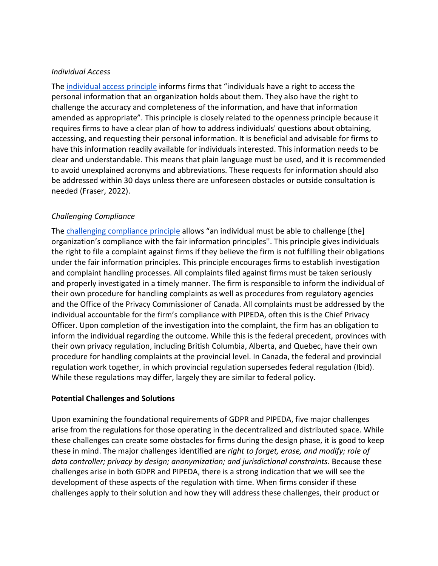### *Individual Access*

The [individual access principle](https://www.priv.gc.ca/en/privacy-topics/privacy-laws-in-canada/the-personal-information-protection-and-electronic-documents-act-pipeda/p_principle/principles/p_access/) informs firms that "individuals have a right to access the personal information that an organization holds about them. They also have the right to challenge the accuracy and completeness of the information, and have that information amended as appropriate". This principle is closely related to the openness principle because it requires firms to have a clear plan of how to address individuals' questions about obtaining, accessing, and requesting their personal information. It is beneficial and advisable for firms to have this information readily available for individuals interested. This information needs to be clear and understandable. This means that plain language must be used, and it is recommended to avoid unexplained acronyms and abbreviations. These requests for information should also be addressed within 30 days unless there are unforeseen obstacles or outside consultation is needed (Fraser, 2022).

# *Challenging Compliance*

The [challenging compliance principle](https://www.priv.gc.ca/en/privacy-topics/privacy-laws-in-canada/the-personal-information-protection-and-electronic-documents-act-pipeda/p_principle/principles/p_compliance/) allows "an individual must be able to challenge [the] organization's compliance with the fair information principles''. This principle gives individuals the right to file a complaint against firms if they believe the firm is not fulfilling their obligations under the fair information principles. This principle encourages firms to establish investigation and complaint handling processes. All complaints filed against firms must be taken seriously and properly investigated in a timely manner. The firm is responsible to inform the individual of their own procedure for handling complaints as well as procedures from regulatory agencies and the Office of the Privacy Commissioner of Canada. All complaints must be addressed by the individual accountable for the firm's compliance with PIPEDA, often this is the Chief Privacy Officer. Upon completion of the investigation into the complaint, the firm has an obligation to inform the individual regarding the outcome. While this is the federal precedent, provinces with their own privacy regulation, including British Columbia, Alberta, and Quebec, have their own procedure for handling complaints at the provincial level. In Canada, the federal and provincial regulation work together, in which provincial regulation supersedes federal regulation (Ibid). While these regulations may differ, largely they are similar to federal policy.

# **Potential Challenges and Solutions**

Upon examining the foundational requirements of GDPR and PIPEDA, five major challenges arise from the regulations for those operating in the decentralized and distributed space. While these challenges can create some obstacles for firms during the design phase, it is good to keep these in mind. The major challenges identified are *right to forget, erase, and modify; role of data controller; privacy by design; anonymization; and jurisdictional constraints*. Because these challenges arise in both GDPR and PIPEDA, there is a strong indication that we will see the development of these aspects of the regulation with time. When firms consider if these challenges apply to their solution and how they will address these challenges, their product or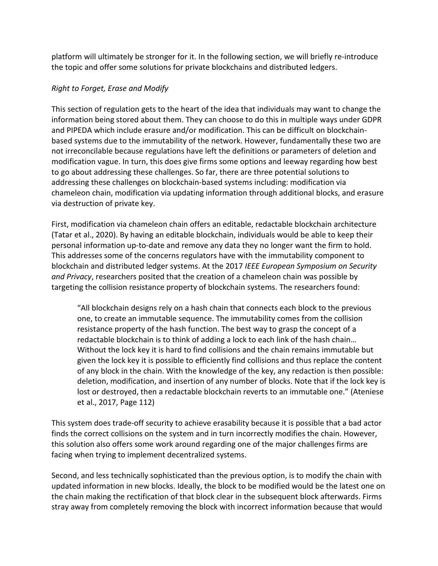platform will ultimately be stronger for it. In the following section, we will briefly re-introduce the topic and offer some solutions for private blockchains and distributed ledgers.

# *Right to Forget, Erase and Modify*

This section of regulation gets to the heart of the idea that individuals may want to change the information being stored about them. They can choose to do this in multiple ways under GDPR and PIPEDA which include erasure and/or modification. This can be difficult on blockchainbased systems due to the immutability of the network. However, fundamentally these two are not irreconcilable because regulations have left the definitions or parameters of deletion and modification vague. In turn, this does give firms some options and leeway regarding how best to go about addressing these challenges. So far, there are three potential solutions to addressing these challenges on blockchain-based systems including: modification via chameleon chain, modification via updating information through additional blocks, and erasure via destruction of private key.

First, modification via chameleon chain offers an editable, redactable blockchain architecture (Tatar et al., 2020). By having an editable blockchain, individuals would be able to keep their personal information up-to-date and remove any data they no longer want the firm to hold. This addresses some of the concerns regulators have with the immutability component to blockchain and distributed ledger systems. At the 2017 *IEEE European Symposium on Security and Privacy*, researchers posited that the creation of a chameleon chain was possible by targeting the collision resistance property of blockchain systems. The researchers found:

"All blockchain designs rely on a hash chain that connects each block to the previous one, to create an immutable sequence. The immutability comes from the collision resistance property of the hash function. The best way to grasp the concept of a redactable blockchain is to think of adding a lock to each link of the hash chain… Without the lock key it is hard to find collisions and the chain remains immutable but given the lock key it is possible to efficiently find collisions and thus replace the content of any block in the chain. With the knowledge of the key, any redaction is then possible: deletion, modification, and insertion of any number of blocks. Note that if the lock key is lost or destroyed, then a redactable blockchain reverts to an immutable one." (Ateniese et al., 2017, Page 112)

This system does trade-off security to achieve erasability because it is possible that a bad actor finds the correct collisions on the system and in turn incorrectly modifies the chain. However, this solution also offers some work around regarding one of the major challenges firms are facing when trying to implement decentralized systems.

Second, and less technically sophisticated than the previous option, is to modify the chain with updated information in new blocks. Ideally, the block to be modified would be the latest one on the chain making the rectification of that block clear in the subsequent block afterwards. Firms stray away from completely removing the block with incorrect information because that would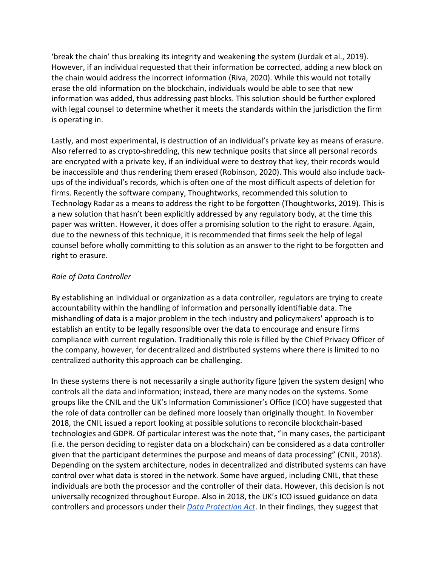'break the chain' thus breaking its integrity and weakening the system (Jurdak et al., 2019). However, if an individual requested that their information be corrected, adding a new block on the chain would address the incorrect information (Riva, 2020). While this would not totally erase the old information on the blockchain, individuals would be able to see that new information was added, thus addressing past blocks. This solution should be further explored with legal counsel to determine whether it meets the standards within the jurisdiction the firm is operating in.

Lastly, and most experimental, is destruction of an individual's private key as means of erasure. Also referred to as crypto-shredding, this new technique posits that since all personal records are encrypted with a private key, if an individual were to destroy that key, their records would be inaccessible and thus rendering them erased (Robinson, 2020). This would also include backups of the individual's records, which is often one of the most difficult aspects of deletion for firms. Recently the software company, Thoughtworks, recommended this solution to Technology Radar as a means to address the right to be forgotten (Thoughtworks, 2019). This is a new solution that hasn't been explicitly addressed by any regulatory body, at the time this paper was written. However, it does offer a promising solution to the right to erasure. Again, due to the newness of this technique, it is recommended that firms seek the help of legal counsel before wholly committing to this solution as an answer to the right to be forgotten and right to erasure.

# *Role of Data Controller*

By establishing an individual or organization as a data controller, regulators are trying to create accountability within the handling of information and personally identifiable data. The mishandling of data is a major problem in the tech industry and policymakers' approach is to establish an entity to be legally responsible over the data to encourage and ensure firms compliance with current regulation. Traditionally this role is filled by the Chief Privacy Officer of the company, however, for decentralized and distributed systems where there is limited to no centralized authority this approach can be challenging.

In these systems there is not necessarily a single authority figure (given the system design) who controls all the data and information; instead, there are many nodes on the systems. Some groups like the CNIL and the UK's Information Commissioner's Office (ICO) have suggested that the role of data controller can be defined more loosely than originally thought. In November 2018, the CNIL issued a report looking at possible solutions to reconcile blockchain-based technologies and GDPR. Of particular interest was the note that, "in many cases, the participant (i.e. the person deciding to register data on a blockchain) can be considered as a data controller given that the participant determines the purpose and means of data processing" (CNIL, 2018). Depending on the system architecture, nodes in decentralized and distributed systems can have control over what data is stored in the network. Some have argued, including CNIL, that these individuals are both the processor and the controller of their data. However, this decision is not universally recognized throughout Europe. Also in 2018, the UK's ICO issued guidance on data controllers and processors under their *[Data Protection Act](https://www.gov.uk/data-protection#:%7E:text=The%20Data%20Protection%20Act%202018,Data%20Protection%20Regulation%20(GDPR).&text=They%20must%20make%20sure%20the,used%20fairly%2C%20lawfully%20and%20transparently)*. In their findings, they suggest that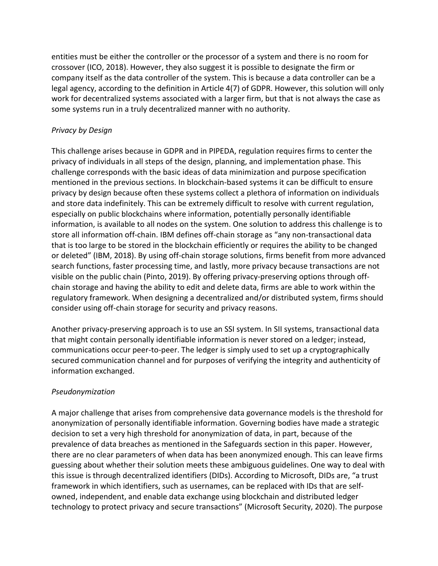entities must be either the controller or the processor of a system and there is no room for crossover (ICO, 2018). However, they also suggest it is possible to designate the firm or company itself as the data controller of the system. This is because a data controller can be a legal agency, according to the definition in Article 4(7) of GDPR. However, this solution will only work for decentralized systems associated with a larger firm, but that is not always the case as some systems run in a truly decentralized manner with no authority.

# *Privacy by Design*

This challenge arises because in GDPR and in PIPEDA, regulation requires firms to center the privacy of individuals in all steps of the design, planning, and implementation phase. This challenge corresponds with the basic ideas of data minimization and purpose specification mentioned in the previous sections. In blockchain-based systems it can be difficult to ensure privacy by design because often these systems collect a plethora of information on individuals and store data indefinitely. This can be extremely difficult to resolve with current regulation, especially on public blockchains where information, potentially personally identifiable information, is available to all nodes on the system. One solution to address this challenge is to store all information off-chain. IBM defines off-chain storage as "any non-transactional data that is too large to be stored in the blockchain efficiently or requires the ability to be changed or deleted" (IBM, 2018). By using off-chain storage solutions, firms benefit from more advanced search functions, faster processing time, and lastly, more privacy because transactions are not visible on the public chain (Pinto, 2019). By offering privacy-preserving options through offchain storage and having the ability to edit and delete data, firms are able to work within the regulatory framework. When designing a decentralized and/or distributed system, firms should consider using off-chain storage for security and privacy reasons.

Another privacy-preserving approach is to use an SSI system. In SII systems, transactional data that might contain personally identifiable information is never stored on a ledger; instead, communications occur peer-to-peer. The ledger is simply used to set up a cryptographically secured communication channel and for purposes of verifying the integrity and authenticity of information exchanged.

# *Pseudonymization*

A major challenge that arises from comprehensive data governance models is the threshold for anonymization of personally identifiable information. Governing bodies have made a strategic decision to set a very high threshold for anonymization of data, in part, because of the prevalence of data breaches as mentioned in the Safeguards section in this paper. However, there are no clear parameters of when data has been anonymized enough. This can leave firms guessing about whether their solution meets these ambiguous guidelines. One way to deal with this issue is through decentralized identifiers (DIDs). According to Microsoft, DIDs are, "a trust framework in which identifiers, such as usernames, can be replaced with IDs that are selfowned, independent, and enable data exchange using blockchain and distributed ledger technology to protect privacy and secure transactions" (Microsoft Security, 2020). The purpose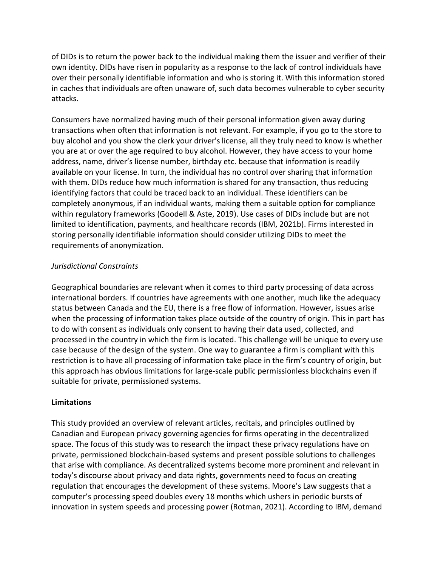of DIDs is to return the power back to the individual making them the issuer and verifier of their own identity. DIDs have risen in popularity as a response to the lack of control individuals have over their personally identifiable information and who is storing it. With this information stored in caches that individuals are often unaware of, such data becomes vulnerable to cyber security attacks.

Consumers have normalized having much of their personal information given away during transactions when often that information is not relevant. For example, if you go to the store to buy alcohol and you show the clerk your driver's license, all they truly need to know is whether you are at or over the age required to buy alcohol. However, they have access to your home address, name, driver's license number, birthday etc. because that information is readily available on your license. In turn, the individual has no control over sharing that information with them. DIDs reduce how much information is shared for any transaction, thus reducing identifying factors that could be traced back to an individual. These identifiers can be completely anonymous, if an individual wants, making them a suitable option for compliance within regulatory frameworks (Goodell & Aste, 2019). Use cases of DIDs include but are not limited to identification, payments, and healthcare records (IBM, 2021b). Firms interested in storing personally identifiable information should consider utilizing DIDs to meet the requirements of anonymization.

# *Jurisdictional Constraints*

Geographical boundaries are relevant when it comes to third party processing of data across international borders. If countries have agreements with one another, much like the adequacy status between Canada and the EU, there is a free flow of information. However, issues arise when the processing of information takes place outside of the country of origin. This in part has to do with consent as individuals only consent to having their data used, collected, and processed in the country in which the firm is located. This challenge will be unique to every use case because of the design of the system. One way to guarantee a firm is compliant with this restriction is to have all processing of information take place in the firm's country of origin, but this approach has obvious limitations for large-scale public permissionless blockchains even if suitable for private, permissioned systems.

# **Limitations**

This study provided an overview of relevant articles, recitals, and principles outlined by Canadian and European privacy governing agencies for firms operating in the decentralized space. The focus of this study was to research the impact these privacy regulations have on private, permissioned blockchain-based systems and present possible solutions to challenges that arise with compliance. As decentralized systems become more prominent and relevant in today's discourse about privacy and data rights, governments need to focus on creating regulation that encourages the development of these systems. Moore's Law suggests that a computer's processing speed doubles every 18 months which ushers in periodic bursts of innovation in system speeds and processing power (Rotman, 2021). According to IBM, demand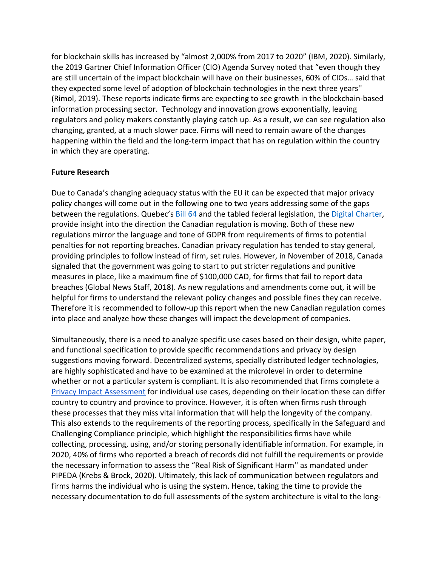for blockchain skills has increased by "almost 2,000% from 2017 to 2020" (IBM, 2020). Similarly, the 2019 Gartner Chief Information Officer (CIO) Agenda Survey noted that "even though they are still uncertain of the impact blockchain will have on their businesses, 60% of CIOs… said that they expected some level of adoption of blockchain technologies in the next three years'' (Rimol, 2019). These reports indicate firms are expecting to see growth in the blockchain-based information processing sector. Technology and innovation grows exponentially, leaving regulators and policy makers constantly playing catch up. As a result, we can see regulation also changing, granted, at a much slower pace. Firms will need to remain aware of the changes happening within the field and the long-term impact that has on regulation within the country in which they are operating.

### **Future Research**

Due to Canada's changing adequacy status with the EU it can be expected that major privacy policy changes will come out in the following one to two years addressing some of the gaps between the regulations. Quebec's **Bill 64** and the tabled federal legislation, the [Digital Charter,](https://www.ic.gc.ca/eic/site/062.nsf/eng/00119.html) provide insight into the direction the Canadian regulation is moving. Both of these new regulations mirror the language and tone of GDPR from requirements of firms to potential penalties for not reporting breaches. Canadian privacy regulation has tended to stay general, providing principles to follow instead of firm, set rules. However, in November of 2018, Canada signaled that the government was going to start to put stricter regulations and punitive measures in place, like a maximum fine of \$100,000 CAD, for firms that fail to report data breaches (Global News Staff, 2018). As new regulations and amendments come out, it will be helpful for firms to understand the relevant policy changes and possible fines they can receive. Therefore it is recommended to follow-up this report when the new Canadian regulation comes into place and analyze how these changes will impact the development of companies.

Simultaneously, there is a need to analyze specific use cases based on their design, white paper, and functional specification to provide specific recommendations and privacy by design suggestions moving forward. Decentralized systems, specially distributed ledger technologies, are highly sophisticated and have to be examined at the microlevel in order to determine whether or not a particular system is compliant. It is also recommended that firms complete a [Privacy Impact Assessment](https://www2.gov.bc.ca/gov/content/governments/services-for-government/information-management-technology/privacy/privacy-impact-assessments) for individual use cases, depending on their location these can differ country to country and province to province. However, it is often when firms rush through these processes that they miss vital information that will help the longevity of the company. This also extends to the requirements of the reporting process, specifically in the Safeguard and Challenging Compliance principle, which highlight the responsibilities firms have while collecting, processing, using, and/or storing personally identifiable information. For example, in 2020, 40% of firms who reported a breach of records did not fulfill the requirements or provide the necessary information to assess the "Real Risk of Significant Harm'' as mandated under PIPEDA (Krebs & Brock, 2020). Ultimately, this lack of communication between regulators and firms harms the individual who is using the system. Hence, taking the time to provide the necessary documentation to do full assessments of the system architecture is vital to the long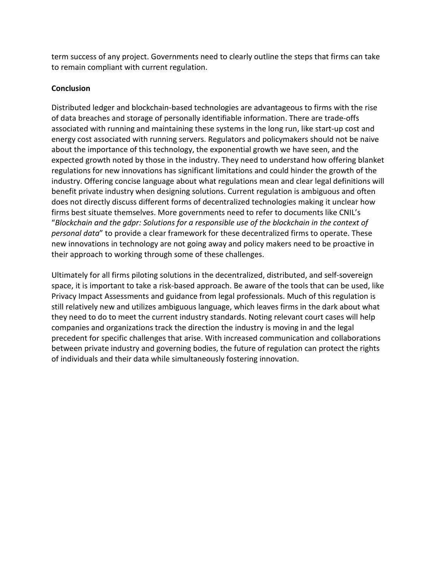term success of any project. Governments need to clearly outline the steps that firms can take to remain compliant with current regulation.

### **Conclusion**

Distributed ledger and blockchain-based technologies are advantageous to firms with the rise of data breaches and storage of personally identifiable information. There are trade-offs associated with running and maintaining these systems in the long run, like start-up cost and energy cost associated with running servers. Regulators and policymakers should not be naive about the importance of this technology, the exponential growth we have seen, and the expected growth noted by those in the industry. They need to understand how offering blanket regulations for new innovations has significant limitations and could hinder the growth of the industry. Offering concise language about what regulations mean and clear legal definitions will benefit private industry when designing solutions. Current regulation is ambiguous and often does not directly discuss different forms of decentralized technologies making it unclear how firms best situate themselves. More governments need to refer to documents like CNIL's "*Blockchain and the gdpr: Solutions for a responsible use of the blockchain in the context of personal data*" to provide a clear framework for these decentralized firms to operate. These new innovations in technology are not going away and policy makers need to be proactive in their approach to working through some of these challenges.

Ultimately for all firms piloting solutions in the decentralized, distributed, and self-sovereign space, it is important to take a risk-based approach. Be aware of the tools that can be used, like Privacy Impact Assessments and guidance from legal professionals. Much of this regulation is still relatively new and utilizes ambiguous language, which leaves firms in the dark about what they need to do to meet the current industry standards. Noting relevant court cases will help companies and organizations track the direction the industry is moving in and the legal precedent for specific challenges that arise. With increased communication and collaborations between private industry and governing bodies, the future of regulation can protect the rights of individuals and their data while simultaneously fostering innovation.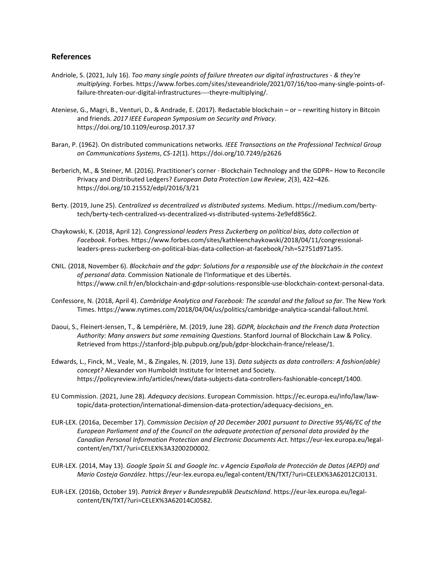#### **References**

- Andriole, S. (2021, July 16). *Too many single points of failure threaten our digital infrastructures - & they're multiplying*. Forbes. https://www.forbes.com/sites/steveandriole/2021/07/16/too-many-single-points-offailure-threaten-our-digital-infrastructures----theyre-multiplying/.
- Ateniese, G., Magri, B., Venturi, D., & Andrade, E. (2017). Redactable blockchain or rewriting history in Bitcoin and friends. *2017 IEEE European Symposium on Security and Privacy*. https://doi.org/10.1109/eurosp.2017.37
- Baran, P. (1962). On distributed communications networks. *IEEE Transactions on the Professional Technical Group on Communications Systems*, *CS-12*(1). https://doi.org/10.7249/p2626
- Berberich, M., & Steiner, M. (2016). Practitioner's corner ∙ Blockchain Technology and the GDPR– How to Reconcile Privacy and Distributed Ledgers? *European Data Protection Law Review*, *2*(3), 422–426. https://doi.org/10.21552/edpl/2016/3/21
- Berty. (2019, June 25). *Centralized vs decentralized vs distributed systems*. Medium. https://medium.com/bertytech/berty-tech-centralized-vs-decentralized-vs-distributed-systems-2e9efd856c2.
- Chaykowski, K. (2018, April 12). *Congressional leaders Press Zuckerberg on political bias, data collection at Facebook*. Forbes. https://www.forbes.com/sites/kathleenchaykowski/2018/04/11/congressionalleaders-press-zuckerberg-on-political-bias-data-collection-at-facebook/?sh=52751d971a95.
- CNIL. (2018, November 6). *Blockchain and the gdpr: Solutions for a responsible use of the blockchain in the context of personal data*. Commission Nationale de l'Informatique et des Libertés. https://www.cnil.fr/en/blockchain-and-gdpr-solutions-responsible-use-blockchain-context-personal-data.
- Confessore, N. (2018, April 4). *Cambridge Analytica and Facebook: The scandal and the fallout so far*. The New York Times. https://www.nytimes.com/2018/04/04/us/politics/cambridge-analytica-scandal-fallout.html.
- Daoui, S., Fleinert-Jensen, T., & Lempérière, M. (2019, June 28). *GDPR, blockchain and the French data Protection Authority: Many answers but some remaining Questions*. Stanford Journal of Blockchain Law & Policy. Retrieved from https://stanford-jblp.pubpub.org/pub/gdpr-blockchain-france/release/1.
- Edwards, L., Finck, M., Veale, M., & Zingales, N. (2019, June 13). *Data subjects as data controllers: A fashion(able) concept?* Alexander von Humboldt Institute for Internet and Society. https://policyreview.info/articles/news/data-subjects-data-controllers-fashionable-concept/1400.
- EU Commission. (2021, June 28). *Adequacy decisions*. European Commission. https://ec.europa.eu/info/law/lawtopic/data-protection/international-dimension-data-protection/adequacy-decisions\_en.
- EUR-LEX. (2016a, December 17). *Commission Decision of 20 December 2001 pursuant to Directive 95/46/EC of the European Parliament and of the Council on the adequate protection of personal data provided by the Canadian Personal Information Protection and Electronic Documents Act.* https://eur-lex.europa.eu/legalcontent/en/TXT/?uri=CELEX%3A32002D0002.
- EUR-LEX. (2014, May 13). *Google Spain SL and Google Inc. v Agencia Española de Protección de Datos (AEPD) and Mario Costeja González*. https://eur-lex.europa.eu/legal-content/EN/TXT/?uri=CELEX%3A62012CJ0131.
- EUR-LEX. (2016b, October 19). *Patrick Breyer v Bundesrepublik Deutschland*. https://eur-lex.europa.eu/legalcontent/EN/TXT/?uri=CELEX%3A62014CJ0582.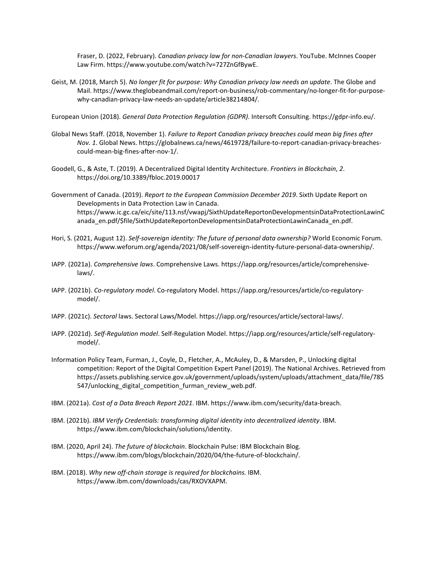Fraser, D. (2022, February). *Canadian privacy law for non-Canadian lawyers*. YouTube. McInnes Cooper Law Firm. https://www.youtube.com/watch?v=727ZnGfBywE.

Geist, M. (2018, March 5). *No longer fit for purpose: Why Canadian privacy law needs an update*. The Globe and Mail. https://www.theglobeandmail.com/report-on-business/rob-commentary/no-longer-fit-for-purposewhy-canadian-privacy-law-needs-an-update/article38214804/.

European Union (2018). *General Data Protection Regulation (GDPR)*. Intersoft Consulting. https://gdpr-info.eu/.

- Global News Staff. (2018, November 1). *Failure to Report Canadian privacy breaches could mean big fines after Nov. 1*. Global News. https://globalnews.ca/news/4619728/failure-to-report-canadian-privacy-breachescould-mean-big-fines-after-nov-1/.
- Goodell, G., & Aste, T. (2019). A Decentralized Digital Identity Architecture. *Frontiers in Blockchain*, *2*. https://doi.org/10.3389/fbloc.2019.00017
- Government of Canada. (2019). *Report to the European Commission December 2019*. Sixth Update Report on Developments in Data Protection Law in Canada. https://www.ic.gc.ca/eic/site/113.nsf/vwapj/SixthUpdateReportonDevelopmentsinDataProtectionLawinC anada\_en.pdf/\$file/SixthUpdateReportonDevelopmentsinDataProtectionLawinCanada\_en.pdf.
- Hori, S. (2021, August 12). *Self-sovereign identity: The future of personal data ownership?* World Economic Forum. https://www.weforum.org/agenda/2021/08/self-sovereign-identity-future-personal-data-ownership/.
- IAPP. (2021a). *Comprehensive laws*. Comprehensive Laws. https://iapp.org/resources/article/comprehensivelaws/.
- IAPP. (2021b). *Co-regulatory model*. Co-regulatory Model. https://iapp.org/resources/article/co-regulatorymodel/.
- IAPP. (2021c). *Sectoral* laws. Sectoral Laws/Model. https://iapp.org/resources/article/sectoral-laws/.
- IAPP. (2021d). *Self-Regulation model*. Self-Regulation Model. https://iapp.org/resources/article/self-regulatorymodel/.
- Information Policy Team, Furman, J., Coyle, D., Fletcher, A., McAuley, D., & Marsden, P., Unlocking digital competition: Report of the Digital Competition Expert Panel (2019). The National Archives. Retrieved from https://assets.publishing.service.gov.uk/government/uploads/system/uploads/attachment\_data/file/785 547/unlocking digital competition furman review web.pdf.
- IBM. (2021a). *Cost of a Data Breach Report 2021*. IBM. https://www.ibm.com/security/data-breach.
- IBM. (2021b). *IBM Verify Credentials: transforming digital identity into decentralized identity*. IBM. https://www.ibm.com/blockchain/solutions/identity.
- IBM. (2020, April 24). *The future of blockchain*. Blockchain Pulse: IBM Blockchain Blog. https://www.ibm.com/blogs/blockchain/2020/04/the-future-of-blockchain/.
- IBM. (2018). *Why new off-chain storage is required for blockchains.* IBM. https://www.ibm.com/downloads/cas/RXOVXAPM.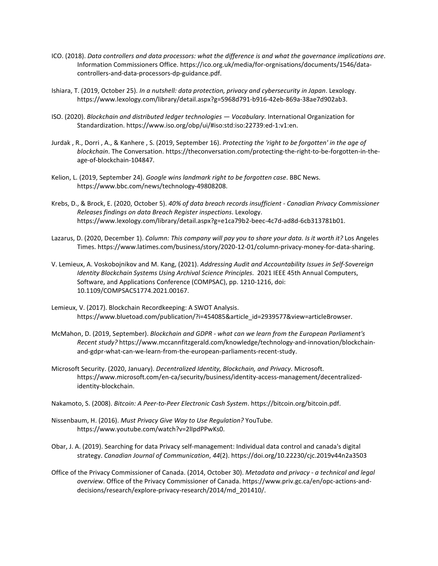- ICO. (2018). *Data controllers and data processors: what the difference is and what the governance implications are*. Information Commissioners Office. https://ico.org.uk/media/for-orgnisations/documents/1546/datacontrollers-and-data-processors-dp-guidance.pdf.
- Ishiara, T. (2019, October 25). *In a nutshell: data protection, privacy and cybersecurity in Japan*. Lexology. https://www.lexology.com/library/detail.aspx?g=5968d791-b916-42eb-869a-38ae7d902ab3.
- ISO. (2020). *Blockchain and distributed ledger technologies — Vocabulary*. International Organization for Standardization. https://www.iso.org/obp/ui/#iso:std:iso:22739:ed-1:v1:en.
- Jurdak , R., Dorri , A., & Kanhere , S. (2019, September 16). *Protecting the 'right to be forgotten' in the age of blockchain*. The Conversation. https://theconversation.com/protecting-the-right-to-be-forgotten-in-theage-of-blockchain-104847.
- Kelion, L. (2019, September 24). *Google wins landmark right to be forgotten case*. BBC News. https://www.bbc.com/news/technology-49808208.
- Krebs, D., & Brock, E. (2020, October 5). *40% of data breach records insufficient - Canadian Privacy Commissioner Releases findings on data Breach Register inspections*. Lexology. https://www.lexology.com/library/detail.aspx?g=e1ca79b2-beec-4c7d-ad8d-6cb313781b01.
- Lazarus, D. (2020, December 1). *Column: This company will pay you to share your data. Is it worth it?* Los Angeles Times. https://www.latimes.com/business/story/2020-12-01/column-privacy-money-for-data-sharing.
- V. Lemieux, A. Voskobojnikov and M. Kang, (2021). *Addressing Audit and Accountability Issues in Self-Sovereign Identity Blockchain Systems Using Archival Science Principles*. 2021 IEEE 45th Annual Computers, Software, and Applications Conference (COMPSAC), pp. 1210-1216, doi: 10.1109/COMPSAC51774.2021.00167.
- Lemieux, V. (2017). Blockchain Recordkeeping: A SWOT Analysis. https://www.bluetoad.com/publication/?i=454085&article\_id=2939577&view=articleBrowser.
- McMahon, D. (2019, September). *Blockchain and GDPR - what can we learn from the European Parliament's Recent study?* https://www.mccannfitzgerald.com/knowledge/technology-and-innovation/blockchainand-gdpr-what-can-we-learn-from-the-european-parliaments-recent-study.
- Microsoft Security. (2020, January). *Decentralized Identity, Blockchain, and Privacy*. Microsoft. https://www.microsoft.com/en-ca/security/business/identity-access-management/decentralizedidentity-blockchain.
- Nakamoto, S. (2008). *Bitcoin: A Peer-to-Peer Electronic Cash System*. https://bitcoin.org/bitcoin.pdf.
- Nissenbaum, H. (2016). *Must Privacy Give Way to Use Regulation?* YouTube. https://www.youtube.com/watch?v=2lIpdPPwKs0.
- Obar, J. A. (2019). Searching for data Privacy self-management: Individual data control and canada's digital strategy. *Canadian Journal of Communication*, *44*(2). https://doi.org/10.22230/cjc.2019v44n2a3503
- Office of the Privacy Commissioner of Canada. (2014, October 30). *Metadata and privacy - a technical and legal overview*. Office of the Privacy Commissioner of Canada. https://www.priv.gc.ca/en/opc-actions-anddecisions/research/explore-privacy-research/2014/md\_201410/.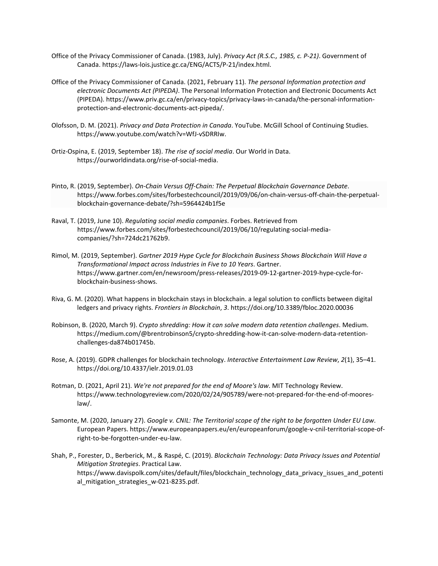- Office of the Privacy Commissioner of Canada. (1983, July). *Privacy Act (R.S.C., 1985, c. P-21)*. Government of Canada. https://laws-lois.justice.gc.ca/ENG/ACTS/P-21/index.html.
- Office of the Privacy Commissioner of Canada. (2021, February 11). *The personal Information protection and electronic Documents Act (PIPEDA)*. The Personal Information Protection and Electronic Documents Act (PIPEDA). https://www.priv.gc.ca/en/privacy-topics/privacy-laws-in-canada/the-personal-informationprotection-and-electronic-documents-act-pipeda/.
- Olofsson, D. M. (2021). *Privacy and Data Protection in Canada*. YouTube. McGill School of Continuing Studies. https://www.youtube.com/watch?v=WfJ-vSDRRIw.
- Ortiz-Ospina, E. (2019, September 18). *The rise of social media*. Our World in Data. https://ourworldindata.org/rise-of-social-media.
- Pinto, R. (2019, September). *On-Chain Versus Off-Chain: The Perpetual Blockchain Governance Debate*. https://www.forbes.com/sites/forbestechcouncil/2019/09/06/on-chain-versus-off-chain-the-perpetualblockchain-governance-debate/?sh=5964424b1f5e
- Raval, T. (2019, June 10). *Regulating social media companies*. Forbes. Retrieved from https://www.forbes.com/sites/forbestechcouncil/2019/06/10/regulating-social-mediacompanies/?sh=724dc21762b9.
- Rimol, M. (2019, September). *Gartner 2019 Hype Cycle for Blockchain Business Shows Blockchain Will Have a Transformational Impact across Industries in Five to 10 Years*. Gartner. https://www.gartner.com/en/newsroom/press-releases/2019-09-12-gartner-2019-hype-cycle-forblockchain-business-shows.
- Riva, G. M. (2020). What happens in blockchain stays in blockchain. a legal solution to conflicts between digital ledgers and privacy rights. *Frontiers in Blockchain*, *3*. https://doi.org/10.3389/fbloc.2020.00036
- Robinson, B. (2020, March 9). *Crypto shredding: How it can solve modern data retention challenges*. Medium. https://medium.com/@brentrobinson5/crypto-shredding-how-it-can-solve-modern-data-retentionchallenges-da874b01745b.
- Rose, A. (2019). GDPR challenges for blockchain technology. *Interactive Entertainment Law Review*, *2*(1), 35–41. https://doi.org/10.4337/ielr.2019.01.03
- Rotman, D. (2021, April 21). *We're not prepared for the end of Moore's law*. MIT Technology Review. https://www.technologyreview.com/2020/02/24/905789/were-not-prepared-for-the-end-of-mooreslaw/.
- Samonte, M. (2020, January 27). *Google v. CNIL: The Territorial scope of the right to be forgotten Under EU Law*. European Papers. https://www.europeanpapers.eu/en/europeanforum/google-v-cnil-territorial-scope-ofright-to-be-forgotten-under-eu-law.
- Shah, P., Forester, D., Berberick, M., & Raspé, C. (2019). *Blockchain Technology: Data Privacy Issues and Potential Mitigation Strategies*. Practical Law. https://www.davispolk.com/sites/default/files/blockchain\_technology\_data\_privacy\_issues\_and\_potenti al\_mitigation\_strategies\_w-021-8235.pdf.